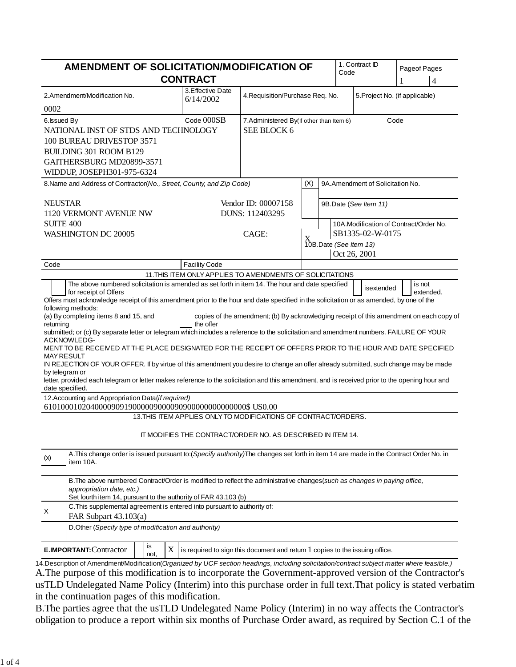| AMENDMENT OF SOLICITATION/MODIFICATION OF                                                                                                                                                                                                                                                                                                                                                                                                                                                                                                                                                                                           | <b>CONTRACT</b>                                                 |                                                                                |                                                                                     | Code                                        | 1. Contract ID | Pageof Pages<br>$\overline{4}$ |
|-------------------------------------------------------------------------------------------------------------------------------------------------------------------------------------------------------------------------------------------------------------------------------------------------------------------------------------------------------------------------------------------------------------------------------------------------------------------------------------------------------------------------------------------------------------------------------------------------------------------------------------|-----------------------------------------------------------------|--------------------------------------------------------------------------------|-------------------------------------------------------------------------------------|---------------------------------------------|----------------|--------------------------------|
| 2.Amendment/Modification No.<br>0002                                                                                                                                                                                                                                                                                                                                                                                                                                                                                                                                                                                                | 3. Effective Date<br>6/14/2002                                  |                                                                                | 4. Requisition/Purchase Req. No.<br>5. Project No. (if applicable)                  |                                             |                |                                |
| 6. Issued By<br>NATIONAL INST OF STDS AND TECHNOLOGY<br>100 BUREAU DRIVESTOP 3571<br><b>BUILDING 301 ROOM B129</b><br>GAITHERSBURG MD20899-3571<br>WIDDUP, JOSEPH301-975-6324                                                                                                                                                                                                                                                                                                                                                                                                                                                       | Code 000SB                                                      | 7. Administered By(If other than Item 6)<br><b>SEE BLOCK 6</b>                 |                                                                                     |                                             |                | Code                           |
| 8. Name and Address of Contractor (No., Street, County, and Zip Code)                                                                                                                                                                                                                                                                                                                                                                                                                                                                                                                                                               |                                                                 | (X)<br>9A.Amendment of Solicitation No.                                        |                                                                                     |                                             |                |                                |
| <b>NEUSTAR</b><br>1120 VERMONT AVENUE NW<br><b>SUITE 400</b><br><b>WASHINGTON DC 20005</b>                                                                                                                                                                                                                                                                                                                                                                                                                                                                                                                                          |                                                                 | Vendor ID: 00007158<br>DUNS: 112403295<br>CAGE:                                | 9B.Date (See Item 11)<br>10A.Modification of Contract/Order No.<br>SB1335-02-W-0175 |                                             |                |                                |
|                                                                                                                                                                                                                                                                                                                                                                                                                                                                                                                                                                                                                                     |                                                                 |                                                                                |                                                                                     | X<br>10B.Date (See Item 13)<br>Oct 26, 2001 |                |                                |
| Code                                                                                                                                                                                                                                                                                                                                                                                                                                                                                                                                                                                                                                | <b>Facility Code</b>                                            |                                                                                |                                                                                     |                                             |                |                                |
| returning<br>submitted; or (c) By separate letter or telegram which includes a reference to the solicitation and amendment numbers. FAILURE OF YOUR<br>ACKNOWLEDG-<br>MENT TO BE RECEIVED AT THE PLACE DESIGNATED FOR THE RECEIPT OF OFFERS PRIOR TO THE HOUR AND DATE SPECIFIED<br><b>MAY RESULT</b><br>IN REJECTION OF YOUR OFFER. If by virtue of this amendment you desire to change an offer already submitted, such change may be made<br>by telegram or<br>letter, provided each telegram or letter makes reference to the solicitation and this amendment, and is received prior to the opening hour and<br>date specified. | the offer                                                       |                                                                                |                                                                                     |                                             |                |                                |
| 12. Accounting and Appropriation Data(if required)                                                                                                                                                                                                                                                                                                                                                                                                                                                                                                                                                                                  | 13. THIS ITEM APPLIES ONLY TO MODIFICATIONS OF CONTRACT/ORDERS. |                                                                                |                                                                                     |                                             |                |                                |
|                                                                                                                                                                                                                                                                                                                                                                                                                                                                                                                                                                                                                                     | IT MODIFIES THE CONTRACT/ORDER NO. AS DESCRIBED IN ITEM 14.     |                                                                                |                                                                                     |                                             |                |                                |
| A. This change order is issued pursuant to: (Specify authority) The changes set forth in item 14 are made in the Contract Order No. in<br>(x)<br>item 10A.                                                                                                                                                                                                                                                                                                                                                                                                                                                                          |                                                                 |                                                                                |                                                                                     |                                             |                |                                |
| B. The above numbered Contract/Order is modified to reflect the administrative changes (such as changes in paying office,<br>appropriation date, etc.)<br>Set fourth item 14, pursuant to the authority of FAR 43.103 (b)                                                                                                                                                                                                                                                                                                                                                                                                           |                                                                 |                                                                                |                                                                                     |                                             |                |                                |
| C. This supplemental agreement is entered into pursuant to authority of:<br>X<br>FAR Subpart $43.103(a)$<br>D.Other (Specify type of modification and authority)                                                                                                                                                                                                                                                                                                                                                                                                                                                                    |                                                                 |                                                                                |                                                                                     |                                             |                |                                |
| is<br><b>E.IMPORTANT: Contractor</b>                                                                                                                                                                                                                                                                                                                                                                                                                                                                                                                                                                                                | X                                                               | is required to sign this document and return $1$ copies to the issuing office. |                                                                                     |                                             |                |                                |
| not,<br>14. Description of Amendment/Modification(Organized by UCF section headings, including solicitation/contract subject matter where feasible.)                                                                                                                                                                                                                                                                                                                                                                                                                                                                                |                                                                 |                                                                                |                                                                                     |                                             |                |                                |

A.The purpose of this modification is to incorporate the Government-approved version of the Contractor's usTLD Undelegated Name Policy (Interim) into this purchase order in full text.That policy is stated verbatim in the continuation pages of this modification.

B.The parties agree that the usTLD Undelegated Name Policy (Interim) in no way affects the Contractor's obligation to produce a report within six months of Purchase Order award, as required by Section C.1 of the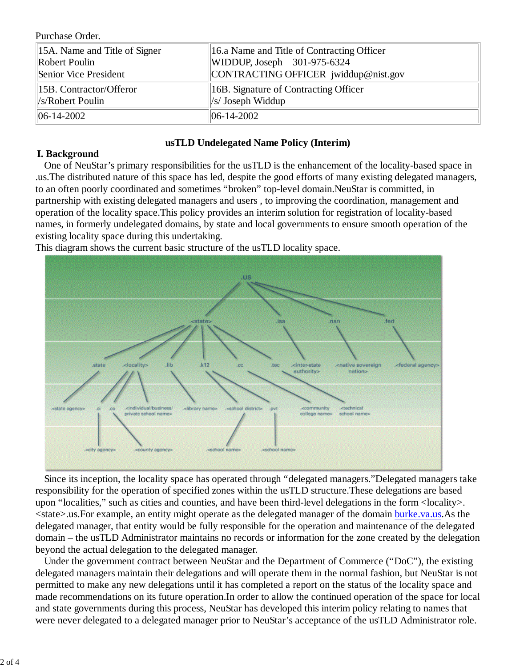Purchase Order.

| $\parallel$ 15A. Name and Title of Signer | 16.a Name and Title of Contracting Officer |  |  |
|-------------------------------------------|--------------------------------------------|--|--|
| Robert Poulin                             | WIDDUP, Joseph $301-975-6324$              |  |  |
| Senior Vice President                     | CONTRACTING OFFICER jwiddup@nist.gov       |  |  |
| 15B. Contractor/Offeror                   | 16B. Signature of Contracting Officer      |  |  |
| $\ $ /s/Robert Poulin                     | $\ $ /s/ Joseph Widdup                     |  |  |
| $\parallel$ 06-14-2002                    | $\parallel$ 06-14-2002                     |  |  |

### **usTLD Undelegated Name Policy (Interim)**

### **I. Background**

One of NeuStar's primary responsibilities for the usTLD is the enhancement of the locality-based space in .us.The distributed nature of this space has led, despite the good efforts of many existing delegated managers, to an often poorly coordinated and sometimes "broken" top-level domain.NeuStar is committed, in partnership with existing delegated managers and users , to improving the coordination, management and operation of the locality space.This policy provides an interim solution for registration of locality-based names, in formerly undelegated domains, by state and local governments to ensure smooth operation of the existing locality space during this undertaking.

This diagram shows the current basic structure of the usTLD locality space.



Since its inception, the locality space has operated through "delegated managers."Delegated managers take responsibility for the operation of specified zones within the usTLD structure.These delegations are based upon "localities," such as cities and counties, and have been third-level delegations in the form <locality>. <state>.us.For example, an entity might operate as the delegated manager of the domain burke.va.us.As the delegated manager, that entity would be fully responsible for the operation and maintenance of the delegated domain – the usTLD Administrator maintains no records or information for the zone created by the delegation beyond the actual delegation to the delegated manager.

Under the government contract between NeuStar and the Department of Commerce ("DoC"), the existing delegated managers maintain their delegations and will operate them in the normal fashion, but NeuStar is not permitted to make any new delegations until it has completed a report on the status of the locality space and made recommendations on its future operation.In order to allow the continued operation of the space for local and state governments during this process, NeuStar has developed this interim policy relating to names that were never delegated to a delegated manager prior to NeuStar's acceptance of the usTLD Administrator role.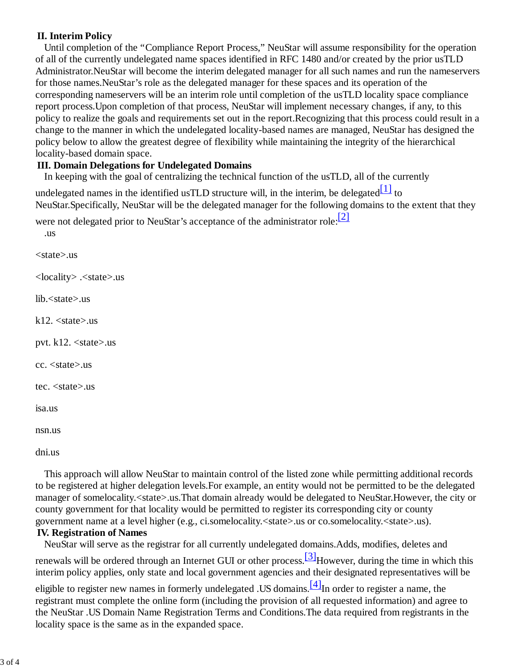# **II. Interim Policy**

Until completion of the "Compliance Report Process," NeuStar will assume responsibility for the operation of all of the currently undelegated name spaces identified in RFC 1480 and/or created by the prior usTLD Administrator.NeuStar will become the interim delegated manager for all such names and run the nameservers for those names.NeuStar's role as the delegated manager for these spaces and its operation of the corresponding nameservers will be an interim role until completion of the usTLD locality space compliance report process.Upon completion of that process, NeuStar will implement necessary changes, if any, to this policy to realize the goals and requirements set out in the report.Recognizing that this process could result in a change to the manner in which the undelegated locality-based names are managed, NeuStar has designed the policy below to allow the greatest degree of flexibility while maintaining the integrity of the hierarchical locality-based domain space.

## **III. Domain Delegations for Undelegated Domains**

In keeping with the goal of centralizing the technical function of the usTLD, all of the currently

undelegated names in the identified usTLD structure will, in the interim, be delegated $\begin{bmatrix} 1 \\ 1 \end{bmatrix}$  to NeuStar.Specifically, NeuStar will be the delegated manager for the following domains to the extent that they

were not delegated prior to NeuStar's acceptance of the administrator role:<sup>[2]</sup> .us

<state>.us <locality> .<state>.us lib.<state>.us  $k12. <$ state $>$ us pvt. k12. <state>.us cc. <state>.us

tec. <state>.us

isa.us

nsn.us

dni.us

This approach will allow NeuStar to maintain control of the listed zone while permitting additional records to be registered at higher delegation levels.For example, an entity would not be permitted to be the delegated manager of somelocality.<state>.us.That domain already would be delegated to NeuStar.However, the city or county government for that locality would be permitted to register its corresponding city or county government name at a level higher (e.g., ci.somelocality.<state>.us or co.somelocality.<state>.us).

#### **IV. Registration of Names**

NeuStar will serve as the registrar for all currently undelegated domains.Adds, modifies, deletes and

renewals will be ordered through an Internet GUI or other process.  $\frac{3}{10}$ However, during the time in which this interim policy applies, only state and local government agencies and their designated representatives will be

eligible to register new names in formerly undelegated .US domains.<sup>[4]</sup>In order to register a name, the registrant must complete the online form (including the provision of all requested information) and agree to the NeuStar .US Domain Name Registration Terms and Conditions.The data required from registrants in the locality space is the same as in the expanded space.